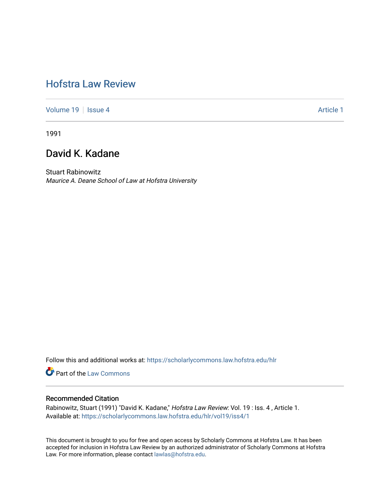# [Hofstra Law Review](https://scholarlycommons.law.hofstra.edu/hlr)

[Volume 19](https://scholarlycommons.law.hofstra.edu/hlr/vol19) | [Issue 4](https://scholarlycommons.law.hofstra.edu/hlr/vol19/iss4) Article 1

1991

# David K. Kadane

Stuart Rabinowitz Maurice A. Deane School of Law at Hofstra University

Follow this and additional works at: [https://scholarlycommons.law.hofstra.edu/hlr](https://scholarlycommons.law.hofstra.edu/hlr?utm_source=scholarlycommons.law.hofstra.edu%2Fhlr%2Fvol19%2Fiss4%2F1&utm_medium=PDF&utm_campaign=PDFCoverPages)

**Part of the [Law Commons](http://network.bepress.com/hgg/discipline/578?utm_source=scholarlycommons.law.hofstra.edu%2Fhlr%2Fvol19%2Fiss4%2F1&utm_medium=PDF&utm_campaign=PDFCoverPages)** 

## Recommended Citation

Rabinowitz, Stuart (1991) "David K. Kadane," Hofstra Law Review: Vol. 19 : Iss. 4, Article 1. Available at: [https://scholarlycommons.law.hofstra.edu/hlr/vol19/iss4/1](https://scholarlycommons.law.hofstra.edu/hlr/vol19/iss4/1?utm_source=scholarlycommons.law.hofstra.edu%2Fhlr%2Fvol19%2Fiss4%2F1&utm_medium=PDF&utm_campaign=PDFCoverPages)

This document is brought to you for free and open access by Scholarly Commons at Hofstra Law. It has been accepted for inclusion in Hofstra Law Review by an authorized administrator of Scholarly Commons at Hofstra Law. For more information, please contact [lawlas@hofstra.edu.](mailto:lawlas@hofstra.edu)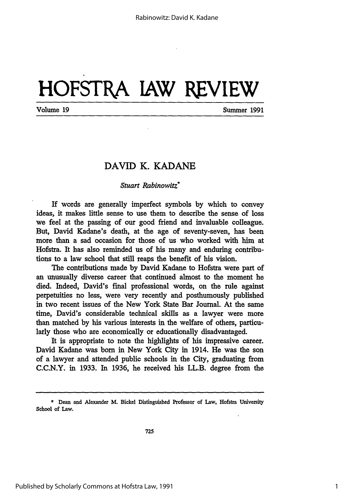# **HOFSTRA lAW REVIEW**

Volume **19** Summer **1991**

## DAVID K. **KADANE**

### *Stuart Rabinowitz\**

If words are generally imperfect symbols **by** which to convey ideas, it makes little sense to use them to describe the sense of loss we feel at the passing of our good friend and invaluable colleague. But, David Kadane's death, at the age of seventy-seven, has been more than a sad occasion for those of us who worked with him at Hofstra. It has also reminded us of his many and enduring contributions to a law school that still reaps the benefit of his vision.

The contributions made by David Kadane to Hofstra were part of an unusually diverse career that continued almost to the moment he died. Indeed, David's final professional words, on the rule against perpetuities no less, were very recently and posthumously published in two recent issues of the New York State Bar Journal. At the same time, David's considerable technical skills as a lawyer were more than matched by his various interests in the welfare of others, particularly those who are economically or educationally disadvantaged.

It is appropriate to note the highlights of his impressive career. David Kadane was born in New York City in 1914. He was the son of a lawyer and attended public schools in the City, graduating from C.C.N.Y. in 1933. In 1936, he received his LL.B. degree from the

<sup>\*</sup> Dean and Alexander M. Bickel Distinguished Professor of Law, Hofstra University School of Law.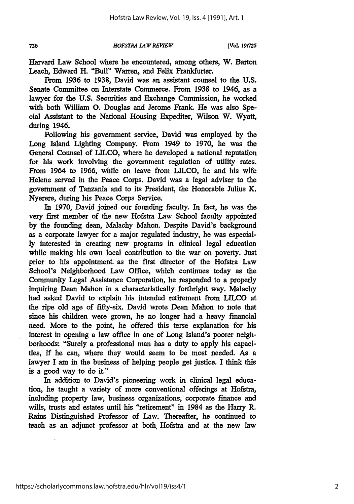726

#### *HOFSTRA LAW REVIEW*

Harvard Law School where he encountered, among others, W. Barton Leach, Edward H. "Bull" Warren, and Felix Frankfurter.

From **1936** to **1938,** David was an assistant counsel to the **U.S.** Senate Committee on Interstate Commerce. From **1938** to 1946, as a lawyer for the **U.S.** Securities and Exchange Commission, he worked with both William **0.** Douglas and Jerome Frank. He was also Special Assistant to the National Housing Expediter, Wilson W. Wyatt, during 1946.

Following his government service, David was employed **by** the Long Island Lighting Company. From 1949 to **1970,** he was the General Counsel of **LILCO,** where he developed a national reputation for his work involving the government regulation of utility rates. From 1964 to **1966,** while on leave from **LILCO,** he and his wife Helene served in the Peace Corps. David was a legal adviser to the government of Tanzania and to its President, the Honorable Julius K. Nyerere, during his Peace Corps Service.

In **1970,** David joined our founding faculty. In fact, he was the very first member of the new Hofstra Law School faculty appointed **by** the founding dean, Malachy Mahon. Despite David's background as a corporate lawyer for a major regulated industry, he was especial**ly** interested in creating new programs in clinical legal education while making his own local contribution to the war on poverty. Just prior to his appointment as the first director of the Hofstra Law School's Neighborhood Law Office, which continues today as the Community Legal Assistance Corporation, he responded to a properly inquiring Dean Mahon in a characteristically forthright way. Malachy had asked David to explain his intended retirement from **LILCO** at the ripe old age of fifty-six. David wrote Dean Mahon to note that since his children were grown, he no longer had a heavy financial need. More to the point, he offered this terse explanation for his interest in opening a law office in one of Long Island's poorer neighborhoods: "Surely a professional man has a duty to apply his capacities, **if** he can, where they would seem to be most needed. As a lawyer I am in the business of helping people get justice. **I** think this is a good way to do it."

In addition to David's pioneering work in clinical legal education, he taught a variety of more conventional offerings at Hofstra, including property law, business organizations, corporate finance and wills, trusts and estates until his "retirement" in 1984 as the Harry R. Rains Distinguished Professor of Law. Thereafter, he continued to teach as an adjunct professor at both. Hofstra and at the new law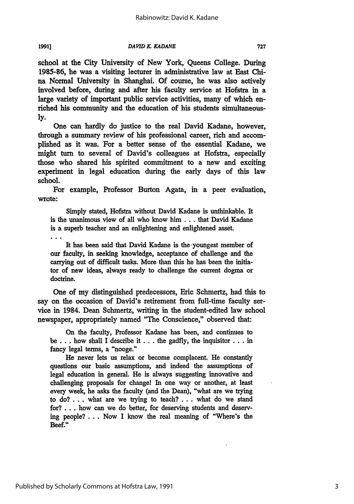**1991]**

*DAVID K. KADANE* 

school at the City University of New York, Queens College. During **1985-86,** he was a visiting lecturer in administrative law at East China Normal University in Shanghai. Of course, he was also actively involved before, during and after his faculty service at Hofstra in a large variety of important public service activities, many of which enriched his community and the education of his students simultaneous**ly.**

One can hardly do justice to the real David Kadane, however, through a summary review of his professional career, rich and accomplished as it was. For a better sense of the essential Kadane, we might **turn** to several of David's colleagues at Hofstra, especially those who shared his spirited commitment to a new and exciting experiment in legal education during the early days of this law school.

For example, Professor Burton Agata, in a peer evaluation, wrote:

Simply stated, Hofstra without David Kadane is unthinkable. It is the unanimous view of all who know him . **..** that David Kadane is a superb teacher and an enlightening and enlightened asset.

It has been said that David Kadane is the-youngest member of our faculty, in seeking knowledge, acceptance of challenge and the carrying out of difficult tasks. More than this he has been the initiator of new ideas, always ready to challenge the current dogma or doctrine.

One of my distinguished predecessors, Eric Schmertz, had this to say on the occasion of David's retirement from full-time faculty service in 1984. Dean Schmertz, writing in the student-edited law school newspaper, appropriately named "The Conscience," observed that:

On the faculty, Professor Kadane has been, and continues to be .**..** how shall I describe it **...** the gadfly, the inquisitor... in fancy legal terms, a "nooge."

He never lets us relax or become complacent. He constantly questions our basic assumptions, and indeed the assumptions of legal education in general. He is always suggesting innovative and challenging proposals for change! In one way or another, at least every week, he asks the faculty (and the Dean), "what are we trying to do? **...** what are we trying to teach? **...** what do we stand for? **...** how can we do better, for deserving students and deserving people? **...** Now I know the real meaning of "Where's the Beef."